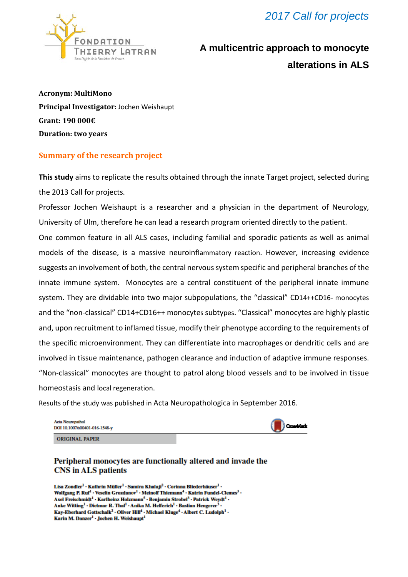*2017 Call for projects*



# **A multicentric approach to monocyte alterations in ALS**

**Acronym: MultiMono Principal Investigator:** Jochen Weishaupt **Grant: 190 000€ Duration: two years**

#### **Summary of the research project**

**This study** aims to replicate the results obtained through the innate Target project, selected during the 2013 Call for projects.

Professor Jochen Weishaupt is a researcher and a physician in the department of Neurology, University of Ulm, therefore he can lead a research program oriented directly to the patient.

One common feature in all ALS cases, including familial and sporadic patients as well as animal models of the disease, is a massive neuroinflammatory reaction. However, increasing evidence suggests an involvement of both, the central nervous system specific and peripheral branches of the innate immune system. Monocytes are a central constituent of the peripheral innate immune system. They are dividable into two major subpopulations, the "classical" CD14++CD16- monocytes and the "non-classical" CD14+CD16++ monocytes subtypes. "Classical" monocytes are highly plastic and, upon recruitment to inflamed tissue, modify their phenotype according to the requirements of the specific microenvironment. They can differentiate into macrophages or dendritic cells and are involved in tissue maintenance, pathogen clearance and induction of adaptive immune responses. "Non-classical" monocytes are thought to patrol along blood vessels and to be involved in tissue homeostasis and local regeneration.

Results of the study was published in Acta Neuropathologica in September 2016.

| <b>Acta Neuropathol</b><br>DOI 10.1007/s00401-016-1548-y | <b>Constitute</b> |
|----------------------------------------------------------|-------------------|
|                                                          |                   |

**ORIGINAL PAPER** 

#### Peripheral monocytes are functionally altered and invade the **CNS** in ALS patients

Lisa Zondler<sup>1</sup> · Kathrin Müller<sup>1</sup> · Samira Khalaji<sup>2</sup> · Corinna Bliederhäuser<sup>1</sup> · Wolfgang P. Ruf<sup>1</sup> · Veselin Grozdanov<sup>1</sup> · Meinolf Thiemann<sup>4</sup> · Katrin Fundel-Clemes<sup>3</sup> · Axel Freischmidt<sup>1</sup> · Karlheinz Holzmann<sup>5</sup> · Benjamin Strobel<sup>3</sup> · Patrick Weydt<sup>1</sup> · Anke Witting<sup>1</sup> · Dietmar R. Thal<sup>1</sup> · Anika M. Helferich<sup>1</sup> · Bastian Hengerer<sup>3</sup> · Kay-Eberhard Gottschalk<sup>2</sup> · Oliver Hill<sup>4</sup> · Michael Kluge<sup>4</sup> · Albert C. Ludolph<sup>1</sup> · Karin M. Danzer<sup>1</sup> · Jochen H. Weishaupt<sup>1</sup>